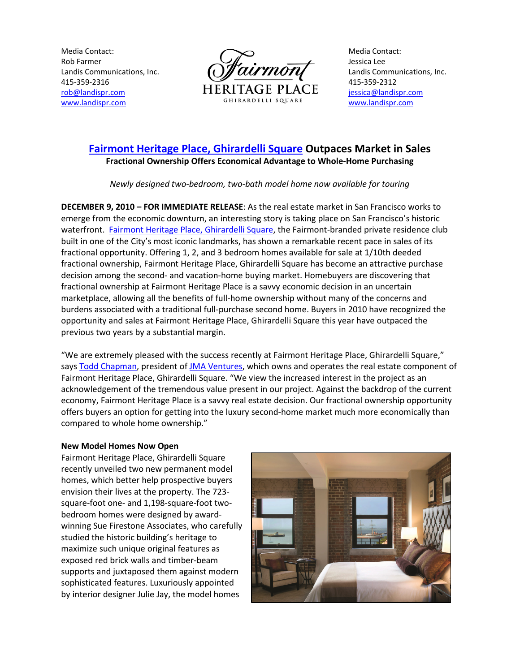Media Contact: Rob Farmer Landis Communications, Inc. 415-359-2316 rob@landispr.com www.landispr.com



Media Contact: Jessica Lee Landis Communications, Inc. 415-359-2312 jessica@landispr.com www.landispr.com

# Fairmont Heritage Place, Ghirardelli Square Outpaces Market in Sales Fractional Ownership Offers Economical Advantage to Whole-Home Purchasing

Newly designed two-bedroom, two-bath model home now available for touring

DECEMBER 9, 2010 – FOR IMMEDIATE RELEASE: As the real estate market in San Francisco works to emerge from the economic downturn, an interesting story is taking place on San Francisco's historic waterfront. Fairmont Heritage Place, Ghirardelli Square, the Fairmont-branded private residence club built in one of the City's most iconic landmarks, has shown a remarkable recent pace in sales of its fractional opportunity. Offering 1, 2, and 3 bedroom homes available for sale at 1/10th deeded fractional ownership, Fairmont Heritage Place, Ghirardelli Square has become an attractive purchase decision among the second- and vacation-home buying market. Homebuyers are discovering that fractional ownership at Fairmont Heritage Place is a savvy economic decision in an uncertain marketplace, allowing all the benefits of full-home ownership without many of the concerns and burdens associated with a traditional full-purchase second home. Buyers in 2010 have recognized the opportunity and sales at Fairmont Heritage Place, Ghirardelli Square this year have outpaced the previous two years by a substantial margin.

"We are extremely pleased with the success recently at Fairmont Heritage Place, Ghirardelli Square," says Todd Chapman, president of JMA Ventures, which owns and operates the real estate component of Fairmont Heritage Place, Ghirardelli Square. "We view the increased interest in the project as an acknowledgement of the tremendous value present in our project. Against the backdrop of the current economy, Fairmont Heritage Place is a savvy real estate decision. Our fractional ownership opportunity offers buyers an option for getting into the luxury second-home market much more economically than compared to whole home ownership."

# New Model Homes Now Open

Fairmont Heritage Place, Ghirardelli Square recently unveiled two new permanent model homes, which better help prospective buyers envision their lives at the property. The 723 square-foot one- and 1,198-square-foot twobedroom homes were designed by awardwinning Sue Firestone Associates, who carefully studied the historic building's heritage to maximize such unique original features as exposed red brick walls and timber-beam supports and juxtaposed them against modern sophisticated features. Luxuriously appointed by interior designer Julie Jay, the model homes

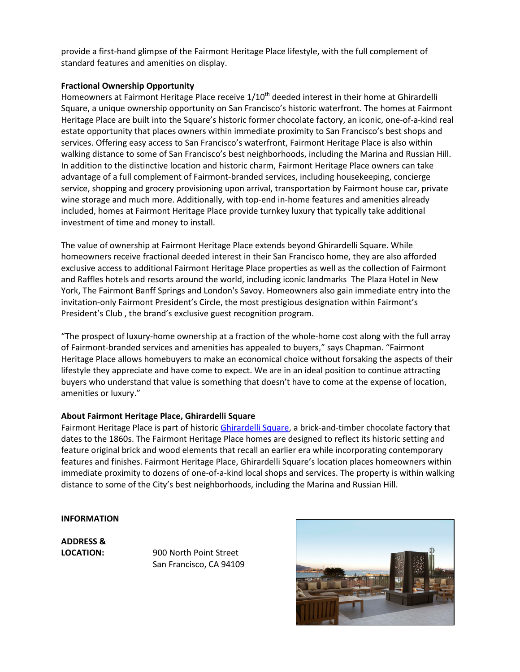provide a first-hand glimpse of the Fairmont Heritage Place lifestyle, with the full complement of standard features and amenities on display.

#### Fractional Ownership Opportunity

Homeowners at Fairmont Heritage Place receive  $1/10<sup>th</sup>$  deeded interest in their home at Ghirardelli Square, a unique ownership opportunity on San Francisco's historic waterfront. The homes at Fairmont Heritage Place are built into the Square's historic former chocolate factory, an iconic, one-of-a-kind real estate opportunity that places owners within immediate proximity to San Francisco's best shops and services. Offering easy access to San Francisco's waterfront, Fairmont Heritage Place is also within walking distance to some of San Francisco's best neighborhoods, including the Marina and Russian Hill. In addition to the distinctive location and historic charm, Fairmont Heritage Place owners can take advantage of a full complement of Fairmont-branded services, including housekeeping, concierge service, shopping and grocery provisioning upon arrival, transportation by Fairmont house car, private wine storage and much more. Additionally, with top-end in-home features and amenities already included, homes at Fairmont Heritage Place provide turnkey luxury that typically take additional investment of time and money to install.

The value of ownership at Fairmont Heritage Place extends beyond Ghirardelli Square. While homeowners receive fractional deeded interest in their San Francisco home, they are also afforded exclusive access to additional Fairmont Heritage Place properties as well as the collection of Fairmont and Raffles hotels and resorts around the world, including iconic landmarks The Plaza Hotel in New York, The Fairmont Banff Springs and London's Savoy. Homeowners also gain immediate entry into the invitation-only Fairmont President's Circle, the most prestigious designation within Fairmont's President's Club , the brand's exclusive guest recognition program.

"The prospect of luxury-home ownership at a fraction of the whole-home cost along with the full array of Fairmont-branded services and amenities has appealed to buyers," says Chapman. "Fairmont Heritage Place allows homebuyers to make an economical choice without forsaking the aspects of their lifestyle they appreciate and have come to expect. We are in an ideal position to continue attracting buyers who understand that value is something that doesn't have to come at the expense of location, amenities or luxury."

# About Fairmont Heritage Place, Ghirardelli Square

Fairmont Heritage Place is part of historic *Ghirardelli Square*, a brick-and-timber chocolate factory that dates to the 1860s. The Fairmont Heritage Place homes are designed to reflect its historic setting and feature original brick and wood elements that recall an earlier era while incorporating contemporary features and finishes. Fairmont Heritage Place, Ghirardelli Square's location places homeowners within immediate proximity to dozens of one-of-a-kind local shops and services. The property is within walking distance to some of the City's best neighborhoods, including the Marina and Russian Hill.

#### INFORMATION

ADDRESS &

LOCATION: 900 North Point Street San Francisco, CA 94109

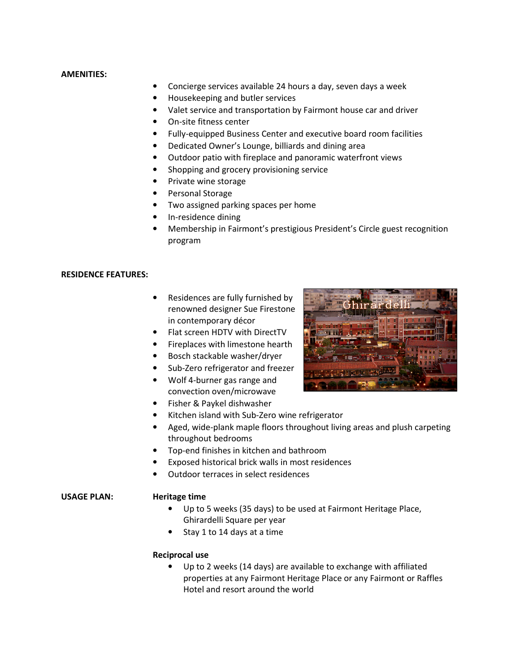#### AMENITIES:

- Concierge services available 24 hours a day, seven days a week
- Housekeeping and butler services
- Valet service and transportation by Fairmont house car and driver
- On-site fitness center
- Fully-equipped Business Center and executive board room facilities
- Dedicated Owner's Lounge, billiards and dining area
- Outdoor patio with fireplace and panoramic waterfront views
- Shopping and grocery provisioning service
- Private wine storage
- Personal Storage
- Two assigned parking spaces per home
- In-residence dining
- Membership in Fairmont's prestigious President's Circle guest recognition program

#### RESIDENCE FEATURES:

- Residences are fully furnished by renowned designer Sue Firestone in contemporary décor
- Flat screen HDTV with DirectTV
- Fireplaces with limestone hearth
- Bosch stackable washer/dryer
- Sub-Zero refrigerator and freezer
- Wolf 4-burner gas range and convection oven/microwave



- Fisher & Paykel dishwasher
- Kitchen island with Sub-Zero wine refrigerator
- Aged, wide-plank maple floors throughout living areas and plush carpeting throughout bedrooms
- Top-end finishes in kitchen and bathroom
- Exposed historical brick walls in most residences
- Outdoor terraces in select residences

# USAGE PLAN: Heritage time

- Up to 5 weeks (35 days) to be used at Fairmont Heritage Place, Ghirardelli Square per year
- Stay 1 to 14 days at a time

# Reciprocal use

• Up to 2 weeks (14 days) are available to exchange with affiliated properties at any Fairmont Heritage Place or any Fairmont or Raffles Hotel and resort around the world